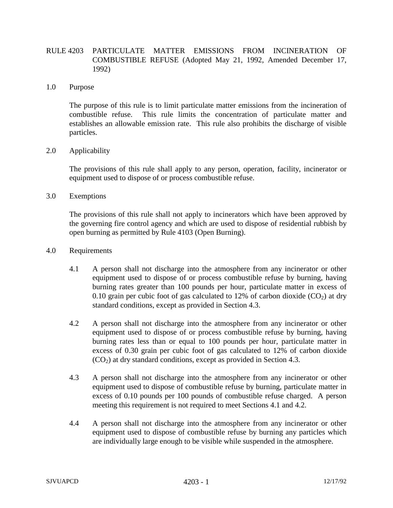## RULE 4203 PARTICULATE MATTER EMISSIONS FROM INCINERATION OF COMBUSTIBLE REFUSE (Adopted May 21, 1992, Amended December 17, 1992)

## 1.0 Purpose

The purpose of this rule is to limit particulate matter emissions from the incineration of combustible refuse. This rule limits the concentration of particulate matter and establishes an allowable emission rate. This rule also prohibits the discharge of visible particles.

## 2.0 Applicability

The provisions of this rule shall apply to any person, operation, facility, incinerator or equipment used to dispose of or process combustible refuse.

## 3.0 Exemptions

The provisions of this rule shall not apply to incinerators which have been approved by the governing fire control agency and which are used to dispose of residential rubbish by open burning as permitted by Rule 4103 (Open Burning).

- 4.0 Requirements
	- 4.1 A person shall not discharge into the atmosphere from any incinerator or other equipment used to dispose of or process combustible refuse by burning, having burning rates greater than 100 pounds per hour, particulate matter in excess of 0.10 grain per cubic foot of gas calculated to 12% of carbon dioxide  $(CO<sub>2</sub>)$  at dry standard conditions, except as provided in Section 4.3.
	- 4.2 A person shall not discharge into the atmosphere from any incinerator or other equipment used to dispose of or process combustible refuse by burning, having burning rates less than or equal to 100 pounds per hour, particulate matter in excess of 0.30 grain per cubic foot of gas calculated to 12% of carbon dioxide  $(CO<sub>2</sub>)$  at dry standard conditions, except as provided in Section 4.3.
	- 4.3 A person shall not discharge into the atmosphere from any incinerator or other equipment used to dispose of combustible refuse by burning, particulate matter in excess of 0.10 pounds per 100 pounds of combustible refuse charged. A person meeting this requirement is not required to meet Sections 4.1 and 4.2.
	- 4.4 A person shall not discharge into the atmosphere from any incinerator or other equipment used to dispose of combustible refuse by burning any particles which are individually large enough to be visible while suspended in the atmosphere.